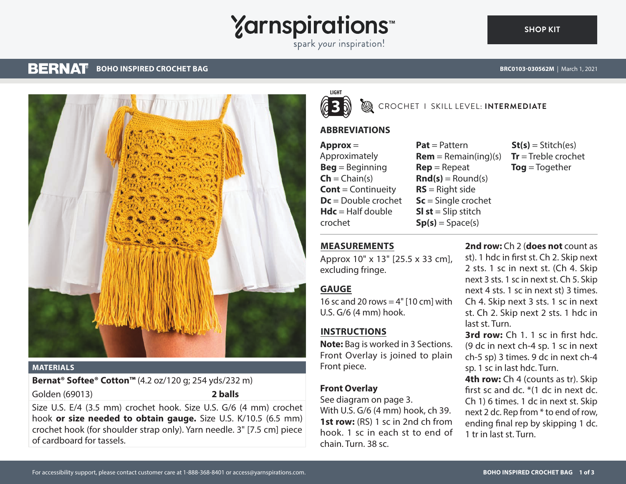# **Yarnspirations**

spark your inspiration!

#### **BERNAT BOHO INSPIRED CROCHET BAG BRC0103-030562M** | March 1, 2021



### **MATERIALS**

**Bernat® Softee® Cotton™** (4.2 oz/120 g; 254 yds/232 m) Golden (69013) **2 balls**

Size U.S. E/4 (3.5 mm) crochet hook. Size U.S. G/6 (4 mm) crochet hook **or size needed to obtain gauge.** Size U.S. K/10.5 (6.5 mm) crochet hook (for shoulder strap only). Yarn needle. 3" [7.5 cm] piece of cardboard for tassels.



## CROCHET I SKILL LEVEL: **INTERMEDIATE**

# **ABBREVIATIONS**

**Approx** = Approximately **Beg** = Beginning  $Ch = Chain(s)$ **Cont** = Continueity **Dc** = Double crochet  $Hdc = Half double$ crochet

**Pat** = Pattern  $Rem = Remain(ina)(s)$ **Rep** = Repeat  $\text{Rnd}(s) = \text{Round}(s)$ **RS** = Right side **Sc** = Single crochet **Sl st** = Slip stitch  $Sp(s) = Space(s)$ 

 $St(s) = Stitch(es)$ **Tr** = Treble crochet **Tog** = Together

# **MEASUREMENTS**

Approx 10" x 13" [25.5 x 33 cm], excluding fringe.

# **GAUGE**

16 sc and 20 rows  $=$  4" [10 cm] with U.S. G/6 (4 mm) hook.

# **INSTRUCTIONS**

**Note:** Bag is worked in 3 Sections. Front Overlay is joined to plain Front piece.

# **Front Overlay**

See diagram on page 3. With U.S. G/6 (4 mm) hook, ch 39. **1st row:** (RS) 1 sc in 2nd ch from hook. 1 sc in each st to end of chain. Turn. 38 sc.

**2nd row:** Ch 2 (**does not** count as st). 1 hdc in first st. Ch 2. Skip next 2 sts. 1 sc in next st. (Ch 4. Skip next 3 sts. 1 sc in next st. Ch 5. Skip next 4 sts. 1 sc in next st) 3 times. Ch 4. Skip next 3 sts. 1 sc in next st. Ch 2. Skip next 2 sts. 1 hdc in last st. Turn.

**3rd row:** Ch 1. 1 sc in first hdc. (9 dc in next ch-4 sp. 1 sc in next ch-5 sp) 3 times. 9 dc in next ch-4 sp. 1 sc in last hdc. Turn.

**4th row:** Ch 4 (counts as tr). Skip first sc and dc. \*(1 dc in next dc. Ch 1) 6 times. 1 dc in next st. Skip next 2 dc. Rep from \* to end of row, ending final rep by skipping 1 dc. 1 tr in last st. Turn.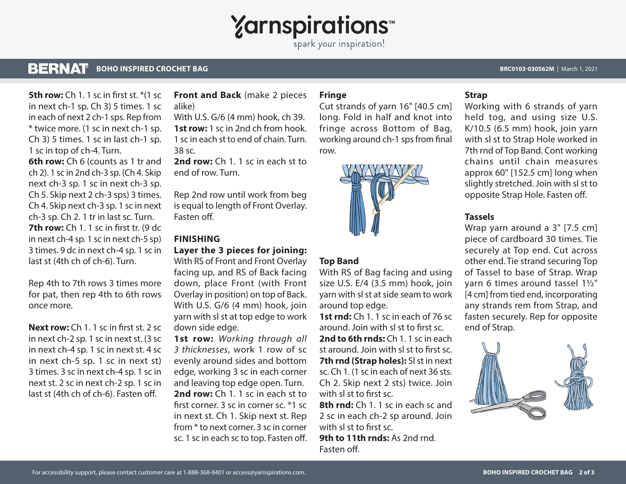

spark your inspiration!

#### **BERNAT BOHO INSPIRED CROCHET BAG BRC0103-030562M** | March 1, 2021

**5th row:** Ch 1. 1 sc in first st. \*(1 sc. in next ch-1 sp. Ch 3) 5 times. 1 sc in each of next 2 ch-1 sps. Rep from \* twice more. (1 sc in next ch-1 sp. Ch 3) 5 times. 1 sc in last ch-1 sp. 1 sc in top of ch-4. Turn. **6th row:** Ch 6 (counts as 1 tr and ch 2). 1 sc in 2nd ch-3 sp. (Ch 4. Skip next ch-3 sp. 1 sc in next ch-3 sp. Ch 5. Skip next 2 ch-3 sps) 3 times.

Ch 4. Skip next ch-3 sp. 1 sc in next ch-3 sp. Ch 2. 1 tr in last sc. Turn. **7th row:** Ch 1. 1 sc in first tr. (9 dc in next ch-4 sp. 1 sc in next ch-5 sp) 3 times. 9 dc in next ch-4 sp. 1 sc in last st (4th ch of ch-6). Turn.

Rep 4th to 7th rows 3 times more for pat, then rep 4th to 6th rows once more.

**Next row:** Ch 1. 1 sc in first st. 2 sc in next ch-2 sp. 1 sc in next st. (3 sc in next ch-4 sp. 1 sc in next st. 4 sc in next ch-5 sp. 1 sc in next st) 3 times. 3 sc in next ch-4 sp. 1 sc in next st. 2 sc in next ch-2 sp. 1 sc in last st (4th ch of ch-6). Fasten off.

## **Front and Back** (make 2 pieces alike)

With U.S. G/6 (4 mm) hook, ch 39. **1st row:** 1 sc in 2nd ch from hook. 1 sc in each st to end of chain. Turn. 38 sc.

**2nd row:** Ch 1. 1 sc in each st to end of row. Turn.

Rep 2nd row until work from beg is equal to length of Front Overlay. Fasten off.

## **FINISHING**

## **Layer the 3 pieces for joining:**

With RS of Front and Front Overlay facing up, and RS of Back facing down, place Front (with Front Overlay in position) on top of Back. With U.S. G/6 (4 mm) hook, join yarn with sl st at top edge to work down side edge.

**1st row:** *Working through all 3 thicknesses*, work 1 row of sc evenly around sides and bottom edge, working 3 sc in each corner and leaving top edge open. Turn. **2nd row:** Ch 1. 1 sc in each st to first corner. 3 sc in corner sc. \*1 sc in next st. Ch 1. Skip next st. Rep from \* to next corner. 3 sc in corner sc. 1 sc in each sc to top. Fasten off.

## **Fringe**

Cut strands of yarn 16" [40.5 cm] long. Fold in half and knot into fringe across Bottom of Bag, working around ch-1 sps from final row.



## **Top Band**

With RS of Bag facing and using size U.S. E/4 (3.5 mm) hook, join yarn with sl st at side seam to work around top edge.

**1st rnd:** Ch 1. 1 sc in each of 76 sc around. Join with sl st to first sc. **2nd to 6th rnds:** Ch 1. 1 sc in each st around. Join with sl st to first sc. **7th rnd (Strap holes):** SI st in next sc. Ch 1. (1 sc in each of next 36 sts. Ch 2. Skip next 2 sts) twice. Join with sl st to first sc.

**8th rnd:** Ch 1. 1 sc in each sc and 2 sc in each ch-2 sp around. Join with sl st to first sc.

**9th to 11th rnds:** As 2nd rnd. Fasten off.

## **Strap**

Working with 6 strands of yarn held tog, and using size U.S. K/10.5 (6.5 mm) hook, join yarn with sl st to Strap Hole worked in 7th rnd of Top Band. Cont working chains until chain measures approx 60" [152.5 cm] long when slightly stretched. Join with sl st to opposite Strap Hole. Fasten off.

## **Tassels**

Wrap yarn around a 3" [7.5 cm] piece of cardboard 30 times. Tie securely at Top end. Cut across other end. Tie strand securing Top of Tassel to base of Strap. Wrap yarn 6 times around tassel 1½" [4 cm] from tied end, incorporating any strands rem from Strap, and fasten securely. Rep for opposite end of Strap.